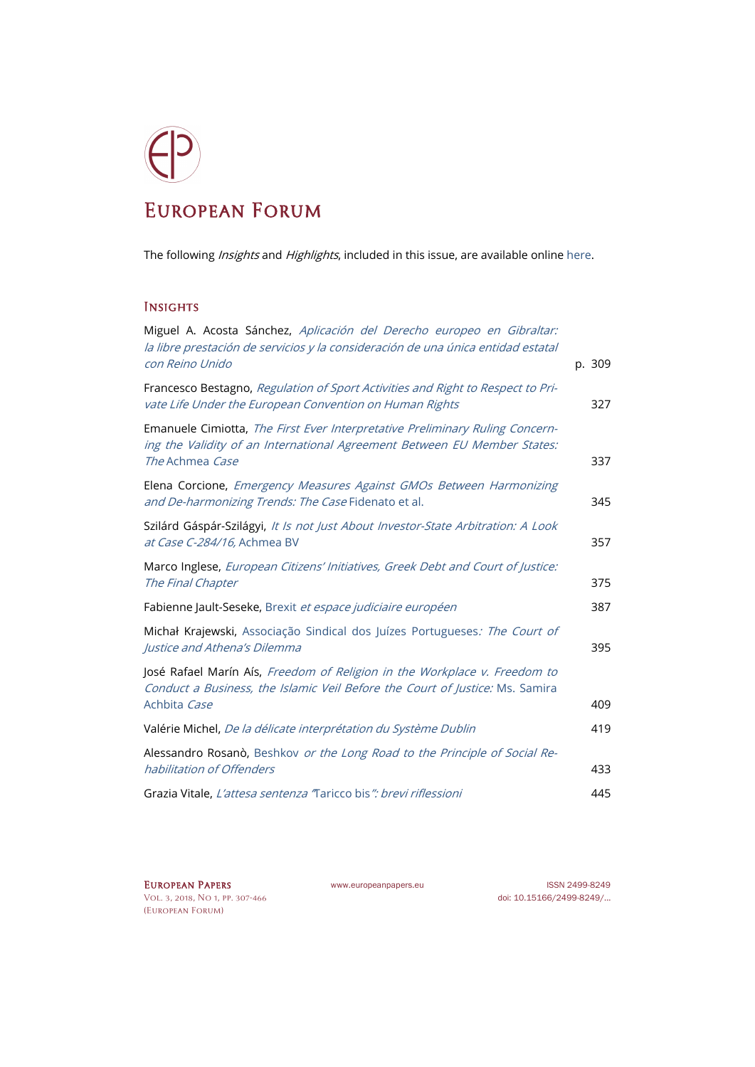## European Forum

The following Insights and Highlights, included in this issue, are available onlin[e here.](http://www.europeanpapers.eu/en/e-journal/EP_eJ_2018_1_European_Forum)

## **INSIGHTS**

| Miguel A. Acosta Sánchez, Aplicación del Derecho europeo en Gibraltar:<br>la libre prestación de servicios y la consideración de una única entidad estatal                  |        |
|-----------------------------------------------------------------------------------------------------------------------------------------------------------------------------|--------|
| con Reino Unido                                                                                                                                                             | p. 309 |
| Francesco Bestagno, Regulation of Sport Activities and Right to Respect to Pri-<br>vate Life Under the European Convention on Human Rights                                  | 327    |
| Emanuele Cimiotta, The First Ever Interpretative Preliminary Ruling Concern-<br>ing the Validity of an International Agreement Between EU Member States:<br>The Achmea Case |        |
|                                                                                                                                                                             | 337    |
| Elena Corcione, Emergency Measures Against GMOs Between Harmonizing<br>and De-harmonizing Trends: The Case Fidenato et al.                                                  | 345    |
| Szilárd Gáspár-Szilágyi, /t /s not Just About Investor-State Arbitration: A Look<br>at Case C-284/16, Achmea BV                                                             | 357    |
| Marco Inglese, European Citizens' Initiatives, Greek Debt and Court of Justice:<br>The Final Chapter                                                                        | 375    |
| Fabienne Jault-Seseke, Brexit et espace judiciaire européen                                                                                                                 | 387    |
| Michał Krajewski, Associação Sindical dos Juízes Portugueses: The Court of<br>Justice and Athena's Dilemma                                                                  | 395    |
| José Rafael Marín Aís, Freedom of Religion in the Workplace v. Freedom to<br>Conduct a Business, the Islamic Veil Before the Court of Justice: Ms. Samira                   |        |
| Achbita Case                                                                                                                                                                | 409    |
| Valérie Michel, De la délicate interprétation du Système Dublin                                                                                                             | 419    |
| Alessandro Rosanò, Beshkov or the Long Road to the Principle of Social Re-<br>habilitation of Offenders                                                                     | 433    |
| Grazia Vitale, L'attesa sentenza Taricco bis": brevi riflessioni                                                                                                            | 445    |